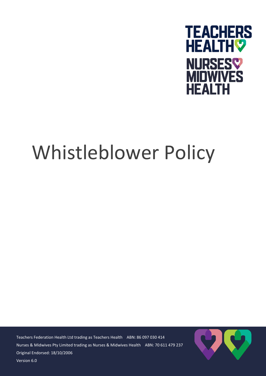

## Whistleblower Policy

Original Endorsed: 18/10/2006 ersion 6.0 Teachers Federation Health Ltd trading as Teachers Health ABN: 86 097 030 414 Nurses & Midwives Pty Limited trading as Nurses & Midwives Health ABN: 70 611 479 237

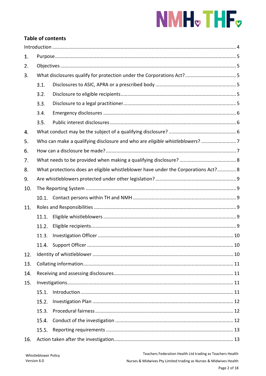# NMH<sub>v</sub>THF<sub>v</sub>

## **Table of contents**

| 1.  |                                                                                    |  |  |  |  |
|-----|------------------------------------------------------------------------------------|--|--|--|--|
| 2.  |                                                                                    |  |  |  |  |
| 3.  |                                                                                    |  |  |  |  |
|     | 3.1.                                                                               |  |  |  |  |
|     | 3.2.                                                                               |  |  |  |  |
|     | 3.3.                                                                               |  |  |  |  |
|     | 3.4.                                                                               |  |  |  |  |
|     | 3.5.                                                                               |  |  |  |  |
| 4.  |                                                                                    |  |  |  |  |
| 5.  |                                                                                    |  |  |  |  |
| 6.  |                                                                                    |  |  |  |  |
| 7.  |                                                                                    |  |  |  |  |
| 8.  | What protections does an eligible whistleblower have under the Corporations Act? 8 |  |  |  |  |
| 9.  |                                                                                    |  |  |  |  |
| 10. |                                                                                    |  |  |  |  |
|     |                                                                                    |  |  |  |  |
| 11. |                                                                                    |  |  |  |  |
|     | 11.1.                                                                              |  |  |  |  |
|     | 11.2.                                                                              |  |  |  |  |
|     | 11.3.                                                                              |  |  |  |  |
|     |                                                                                    |  |  |  |  |
| 12. |                                                                                    |  |  |  |  |
| 13. |                                                                                    |  |  |  |  |
| 14. |                                                                                    |  |  |  |  |
| 15. |                                                                                    |  |  |  |  |
|     | 15.1.                                                                              |  |  |  |  |
|     | 15.2.                                                                              |  |  |  |  |
|     | 15.3.                                                                              |  |  |  |  |
|     | 15.4.                                                                              |  |  |  |  |
|     | 15.5.                                                                              |  |  |  |  |
| 16. |                                                                                    |  |  |  |  |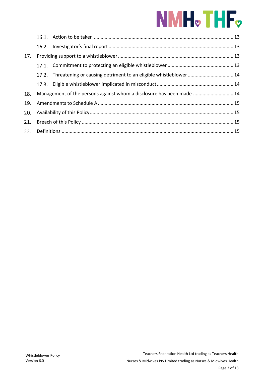## NMH<sub>v</sub>THF<sub>v</sub>

| 17. |                                                                       |                                                                        |  |
|-----|-----------------------------------------------------------------------|------------------------------------------------------------------------|--|
|     |                                                                       |                                                                        |  |
|     |                                                                       | 17.2. Threatening or causing detriment to an eligible whistleblower 14 |  |
|     |                                                                       |                                                                        |  |
| 18. | Management of the persons against whom a disclosure has been made  14 |                                                                        |  |
| 19. |                                                                       |                                                                        |  |
| 20. |                                                                       |                                                                        |  |
| 21. |                                                                       |                                                                        |  |
| 22. |                                                                       |                                                                        |  |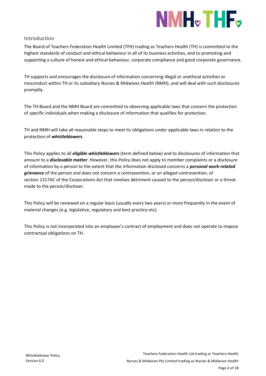

## <span id="page-3-0"></span>**Introduction**

The Board of Teachers Federation Health Limited (TFH) trading as Teachers Health (TH) is committed to the highest standards of conduct and ethical behaviour in all of its business activities, and to promoting and supporting a culture of honest and ethical behaviour, corporate compliance and good corporate governance.

TH supports and encourages the disclosure of information concerning illegal or unethical activities or misconduct within TH or its subsidiary Nurses & Midwives Health (NMH), and will deal with such disclosures promptly.

The TH Board and the NMH Board are committed to observing applicable laws that concern the protection of specific individuals when making a disclosure of information that qualifies for protection.

TH and NMH will take all reasonable steps to meet its obligations under applicable laws in relation to the protection of *whistleblowers*.

This Policy applies to all *eligible whistleblowers* (term defined below) and to disclosures of information that amount to a *disclosable matter*. However, this Policy does not apply to member complaints or a disclosure of information by a person to the extent that the information disclosed concerns a *personal work-related grievance* of the person and does not concern a contravention, or an alleged contravention, of section 1317AC of the Corporations Act that involves detriment caused to the person/discloser or a threat made to the person/discloser.

This Policy will be reviewed on a regular basis (usually every two years) or more frequently in the event of material changes (e.g. legislative, regulatory and best practice etc).

This Policy is not incorporated into an employee's contract of employment and does not operate to impose contractual obligations on TH.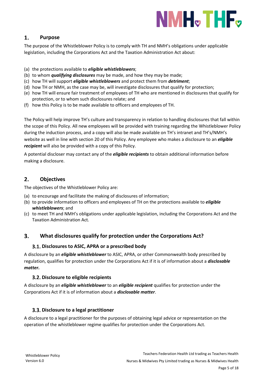

#### <span id="page-4-0"></span>1. **Purpose**

The purpose of the Whistleblower Policy is to comply with TH and NMH's obligations under applicable legislation, including the Corporations Act and the Taxation Administration Act about:

- (a) the protections available to *eligible whistleblowers*;
- (b) to whom *qualifying disclosures* may be made, and how they may be made;
- (c) how TH will support *eligible whistleblowers* and protect them from *detriment*;
- (d) how TH or NMH, as the case may be, will investigate disclosures that qualify for protection;
- (e) how TH will ensure fair treatment of employees of TH who are mentioned in disclosures that qualify for protection, or to whom such disclosures relate; and
- (f) how this Policy is to be made available to officers and employees of TH.

The Policy will help improve TH's culture and transparency in relation to handling disclosures that fall within the scope of this Policy. All new employees will be provided with training regarding the Whistleblower Policy during the induction process, and a copy will also be made available on TH's intranet and TH's/NMH's website as well in line with section 20 of this Policy. Any employee who makes a disclosure to an *eligible recipient* will also be provided with a copy of this Policy.

A potential discloser may contact any of the *eligible recipients* to obtain additional information before making a disclosure.

#### <span id="page-4-1"></span> $2.$ **Objectives**

The objectives of the Whistleblower Policy are:

- (a) to encourage and facilitate the making of disclosures of information;
- (b) to provide information to officers and employees of TH on the protections available to *eligible whistleblowers*; and
- (c) to meet TH and NMH's obligations under applicable legislation, including the Corporations Act and the Taxation Administration Act*.*

#### <span id="page-4-3"></span><span id="page-4-2"></span>3. **What disclosures qualify for protection under the Corporations Act?**

## **Disclosures to ASIC, APRA or a prescribed body**

A disclosure by an *eligible whistleblower* to ASIC, APRA, or other Commonwealth body prescribed by regulation, qualifies for protection under the Corporations Act if it is of information about a *disclosable matter***.**

## <span id="page-4-4"></span>**Disclosure to eligible recipients**

A disclosure by an *eligible whistleblower* to an *eligible recipient* qualifies for protection under the Corporations Act if it is of information about a *disclosable matter*.

## <span id="page-4-5"></span>**Disclosure to a legal practitioner**

A disclosure to a legal practitioner for the purposes of obtaining legal advice or representation on the operation of the whistleblower regime qualifies for protection under the Corporations Act.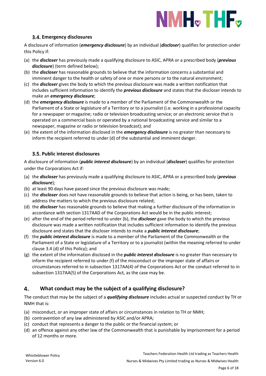## NMH<sub>v</sub>THF<sub>v</sub>

## **Emergency disclosures**

<span id="page-5-0"></span>A disclosure of information (*emergency disclosure*) by an individual (*discloser*) qualifies for protection under this Policy if:

- (a) the *discloser* has previously made a qualifying disclosure to ASIC, APRA or a prescribed body (*previous disclosure*) (term defined below);
- (b) the *discloser* has reasonable grounds to believe that the information concerns a substantial and imminent danger to the health or safety of one or more persons or to the natural environment;
- (c) the *discloser* gives the body to which the previous disclosure was made a written notification that includes sufficient information to identify the *previous disclosure* and states that the discloser intends to make an *emergency disclosure*;
- (d) the *emergency disclosure* is made to a member of the Parliament of the Commonwealth or the Parliament of a State or legislature of a Territory or to a journalist (i.e. working in a professional capacity for a newspaper or magazine; radio or television broadcasting service; or an electronic service that is operated on a commercial basis or operated by a national broadcasting service and similar to a newspaper, magazine or radio or television broadcast); and
- (e) the extent of the information disclosed in the *emergency disclosure* is no greater than necessary to inform the recipient referred to under (d) of the substantial and imminent danger.

## <span id="page-5-1"></span>**Public interest disclosures**

A disclosure of information (*public interest disclosure*) by an individual (*discloser*) qualifies for protection under the Corporations Act if:

- (a) the *discloser* has previously made a qualifying disclosure to ASIC, APRA or a prescribed body (*previous disclosure*);
- (b) at least 90 days have passed since the previous disclosure was made;
- (c) the *discloser* does not have reasonable grounds to believe that action is being, or has been, taken to address the matters to which the previous disclosure related;
- (d) the *discloser* has reasonable grounds to believe that making a further disclosure of the information in accordance with section 1317AAD of the Corporations Act would be in the public interest;
- (e) after the end of the period referred to under (b), the *discloser* gave the body to which the previous disclosure was made a written notification that includes sufficient information to identify the previous disclosure and states that the discloser intends to make a *public interest disclosure*;
- (f) the *public interest disclosure* is made to a member of the Parliament of the Commonwealth or the Parliament of a State or legislature of a Territory or to a journalist (within the meaning referred to under clause 3.4 (d) of this Policy); and
- (g) the extent of the information disclosed in the *public interest disclosure* is no greater than necessary to inform the recipient referred to under (f) of the misconduct or the improper state of affairs or circumstances referred to in subsection 1317AA(4) of the Corporations Act or the conduct referred to in subsection 1317AA(5) of the Corporations Act, as the case may be.

#### <span id="page-5-2"></span>4. **What conduct may be the subject of a qualifying disclosure?**

The conduct that may be the subject of a *qualifying disclosure* includes actual or suspected conduct by TH or NMH that is:

- (a) misconduct, or an improper state of affairs or circumstances in relation to TH or NMH;
- (b) contravention of any law administered by ASIC and/or APRA;
- (c) conduct that represents a danger to the public or the financial system; or
- (d) an offence against any other law of the Commonwealth that is punishable by imprisonment for a period of 12 months or more.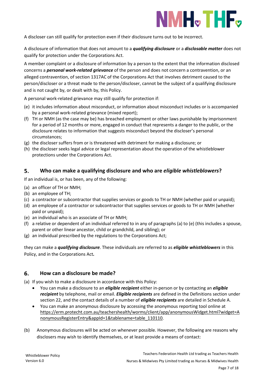

A discloser can still qualify for protection even if their disclosure turns out to be incorrect.

A disclosure of information that does not amount to a *qualifying disclosure* or a *disclosable matter* does not qualify for protection under the Corporations Act.

A member complaint or a disclosure of information by a person to the extent that the information disclosed concerns a *personal work-related grievance* of the person and does not concern a contravention, or an alleged contravention, of section 1317AC of the Corporations Act that involves detriment caused to the person/discloser or a threat made to the person/discloser, cannot be the subject of a qualifying disclosure and is not caught by, or dealt with by, this Policy.

A personal work-related grievance may still qualify for protection if:

- (e) it includes information about misconduct, or information about misconduct includes or is accompanied by a personal work-related grievance (mixed report);
- (f) TH or NMH (as the case may be) has breached employment or other laws punishable by imprisonment for a period of 12 months or more, engaged in conduct that represents a danger to the public, or the disclosure relates to information that suggests misconduct beyond the discloser's personal circumstances;
- (g) the discloser suffers from or is threatened with detriment for making a disclosure; or
- (h) the discloser seeks legal advice or legal representation about the operation of the whistleblower protections under the Corporations Act.

#### <span id="page-6-0"></span>5. **Who can make a qualifying disclosure and who are** *eligible whistleblowers***?**

If an individual is, or has been, any of the following:

- (a) an officer of TH or NMH;
- (b) an employee of TH;
- (c) a contractor or subcontractor that supplies services or goods to TH or NMH (whether paid or unpaid);
- (d) an employee of a contractor or subcontractor that supplies services or goods to TH or NMH (whether paid or unpaid);
- (e) an individual who is an associate of TH or NMH;
- (f) a relative or dependent of an individual referred to in any of paragraphs (a) to (e) (this includes a spouse, parent or other linear ancestor, child or grandchild, and sibling); or
- (g) an individual prescribed by the regulations to the Corporations Act;

they can make a *qualifying disclosure*. These individuals are referred to as *eligible whistleblowers* in this Policy, and in the Corporations Act*.*

#### <span id="page-6-1"></span>**How can a disclosure be made?** 6.

(a) If you wish to make a disclosure in accordance with this Policy:

- You can make a disclosure to an *eligible recipient* either in-person or by contacting an *eligible recipient* by telephone, mail or email. *Eligible recipients* are defined in the Definitions section under section 22, and the contact details of a number of *eligible recipients* are detailed in Schedule A.
- You can make an anonymous disclosure by accessing the anonymous reporting tool online at [https://erm.protecht.com.au/teachershealth/worms/client/app/anonymousWidget.html?widget=A](https://erm.protecht.com.au/teachershealth/worms/client/app/anonymousWidget.html?widget=AnonymousRegisterEntry&appId=1&tablename=table_110110) [nonymousRegisterEntry&appId=1&tablename=table\\_110110](https://erm.protecht.com.au/teachershealth/worms/client/app/anonymousWidget.html?widget=AnonymousRegisterEntry&appId=1&tablename=table_110110)*.*
- (b) Anonymous disclosures will be acted on whenever possible. However, the following are reasons why disclosers may wish to identify themselves, or at least provide a means of contact: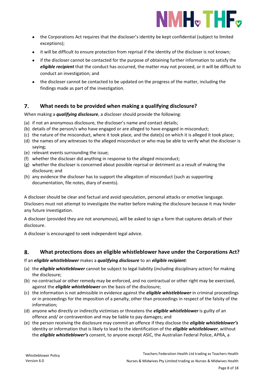

- the Corporations Act requires that the discloser's identity be kept confidential (subject to limited exceptions);
- it will be difficult to ensure protection from reprisal if the identity of the discloser is not known;
- if the discloser cannot be contacted for the purpose of obtaining further information to satisfy the *eligible recipient* that the conduct has occurred, the matter may not proceed, or it will be difficult to conduct an investigation; and
- the discloser cannot be contacted to be updated on the progress of the matter, including the findings made as part of the investigation.

#### <span id="page-7-0"></span> $\overline{7}$ . **What needs to be provided when making a qualifying disclosure?**

When making a *qualifying disclosure*, a discloser should provide the following:

- (a) if not an anonymous disclosure, the discloser's name and contact details;
- (b) details of the person/s who have engaged or are alleged to have engaged in misconduct;
- (c) the nature of the misconduct, where it took place, and the date(s) on which it is alleged it took place;
- (d) the names of any witnesses to the alleged misconduct or who may be able to verify what the discloser is saying;
- (e) relevant events surrounding the issue;
- (f) whether the discloser did anything in response to the alleged misconduct;
- (g) whether the discloser is concerned about possible reprisal or detriment as a result of making the disclosure; and
- (h) any evidence the discloser has to support the allegation of misconduct (such as supporting documentation, file notes, diary of events).

A discloser should be clear and factual and avoid speculation, personal attacks or emotive language. Disclosers must not attempt to investigate the matter before making the disclosure because it may hinder any future investigation.

A discloser (provided they are not anonymous), will be asked to sign a form that captures details of their disclosure.

A discloser is encouraged to seek independent legal advice.

#### <span id="page-7-1"></span>8. **What protections does an eligible whistleblower have under the Corporations Act?**

If an *eligible whistleblower* makes a *qualifying disclosure* to an *eligible recipient*:

- (a) the *eligible whistleblower* cannot be subject to legal liability (including disciplinary action) for making the disclosure;
- (b) no contractual or other remedy may be enforced, and no contractual or other right may be exercised, against the *eligible whistleblower* on the basis of the disclosure;
- (c) the information is not admissible in evidence against the *eligible whistleblower* in criminal proceedings or in proceedings for the imposition of a penalty, other than proceedings in respect of the falsity of the information;
- (d) anyone who directly or indirectly victimises or threatens the *eligible whistleblower* is guilty of an offence and/ or contravention and may be liable to pay damages; and
- (e) the person receiving the disclosure may commit an offence if they disclose the *eligible whistleblower's* identity or information that is likely to lead to the identification of the *eligible whistleblower*, without the *eligible whistleblower's* consent, to anyone except ASIC, the Australian Federal Police, APRA, a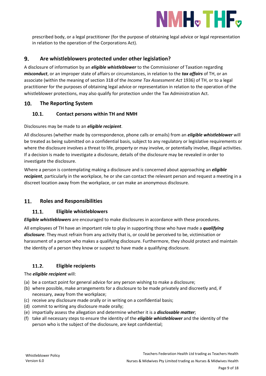

prescribed body, or a legal practitioner (for the purpose of obtaining legal advice or legal representation in relation to the operation of the Corporations Act).

#### <span id="page-8-0"></span>**Are whistleblowers protected under other legislation?** 9.

A disclosure of information by an *eligible whistleblower* to the Commissioner of Taxation regarding *misconduct*, or an improper state of affairs or circumstances, in relation to the *tax affairs* of TH, or an associate (within the meaning of section 318 of the *Income Tax Assessment Act* 1936) of TH, or to a legal practitioner for the purposes of obtaining legal advice or representation in relation to the operation of the whistleblower protections, may also qualify for protection under the Tax Administration Act.

#### <span id="page-8-1"></span>10. **The Reporting System**

#### <span id="page-8-2"></span> $10.1.$ **Contact persons within TH and NMH**

## Disclosures may be made to an *eligible recipient*.

All disclosures (whether made by correspondence, phone calls or emails) from an *eligible whistleblower* will be treated as being submitted on a confidential basis, subject to any regulatory or legislative requirements or where the disclosure involves a threat to life, property or may involve, or potentially involve, illegal activities. If a decision is made to investigate a disclosure, details of the disclosure may be revealed in order to investigate the disclosure.

Where a person is contemplating making a disclosure and is concerned about approaching an *eligible recipient*, particularly in the workplace, he or she can contact the relevant person and request a meeting in a discreet location away from the workplace, or can make an anonymous disclosure.

#### <span id="page-8-4"></span><span id="page-8-3"></span>11. **Roles and Responsibilities**

#### 11.1. **Eligible whistleblowers**

*Eligible whistleblowers* are encouraged to make disclosures in accordance with these procedures.

All employees of TH have an important role to play in supporting those who have made a *qualifying disclosure*. They must refrain from any activity that is, or could be perceived to be, victimisation or harassment of a person who makes a qualifying disclosure. Furthermore, they should protect and maintain the identity of a person they know or suspect to have made a qualifying disclosure.

#### <span id="page-8-5"></span> $11.2.$ **Eligible recipients**

The *eligible recipient* will:

- (a) be a contact point for general advice for any person wishing to make a disclosure;
- (b) where possible, make arrangements for a disclosure to be made privately and discreetly and, if necessary, away from the workplace;
- (c) receive any disclosure made orally or in writing on a confidential basis;
- (d) commit to writing any disclosure made orally;
- (e) impartially assess the allegation and determine whether it is a *disclosable matter*;
- (f) take all necessary steps to ensure the identity of the *eligible whistleblower* and the identity of the person who is the subject of the disclosure, are kept confidential;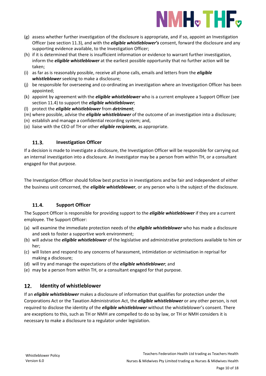

- (g) assess whether further investigation of the disclosure is appropriate, and if so, appoint an Investigation Officer (see section 11.3), and with the *eligible whistleblower's* consent, forward the disclosure and any supporting evidence available, to the Investigation Officer;
- (h) if it is determined that there is insufficient information or evidence to warrant further investigation, inform the *eligible whistleblower* at the earliest possible opportunity that no further action will be taken;
- (i) as far as is reasonably possible, receive all phone calls, emails and letters from the *eligible whistleblower* seeking to make a disclosure;
- (j) be responsible for overseeing and co-ordinating an investigation where an Investigation Officer has been appointed;
- (k) appoint by agreement with the *eligible whistleblower* who is a current employee a Support Officer (see section 11.4) to support the *eligible whistleblower*;
- (l) protect the *eligible whistleblower* from *detriment*;
- (m) where possible, advise the *eligible whistleblower* of the outcome of an investigation into a disclosure;
- (n) establish and manage a confidential recording system; and,
- (o) liaise with the CEO of TH or other *eligible recipients*, as appropriate.

#### <span id="page-9-0"></span> $11.3.$ **Investigation Officer**

If a decision is made to investigate a disclosure, the Investigation Officer will be responsible for carrying out an internal investigation into a disclosure. An investigator may be a person from within TH, or a consultant engaged for that purpose.

The Investigation Officer should follow best practice in investigations and be fair and independent of either the business unit concerned, the *eligible whistleblower*, or any person who is the subject of the disclosure.

#### <span id="page-9-1"></span>11.4. **Support Officer**

The Support Officer is responsible for providing support to the *eligible whistleblower* if they are a current employee. The Support Officer:

- (a) will examine the immediate protection needs of the *eligible whistleblower* who has made a disclosure and seek to foster a supportive work environment;
- (b) will advise the *eligible whistleblower* of the legislative and administrative protections available to him or her;
- (c) will listen and respond to any concerns of harassment, intimidation or victimisation in reprisal for making a disclosure;
- (d) will try and manage the expectations of the *eligible whistleblower*; and
- (e) may be a person from within TH, or a consultant engaged for that purpose.

#### <span id="page-9-2"></span>12. **Identity of whistleblower**

If an *eligible whistleblower* makes a disclosure of information that qualifies for protection under the Corporations Act or the Taxation Administration Act, the *eligible whistleblower* or any other person, is not required to disclose the identity of the *eligible whistleblower* without the whistleblower's consent. There are exceptions to this, such as TH or NMH are compelled to do so by law, or TH or NMH considers it is necessary to make a disclosure to a regulator under legislation.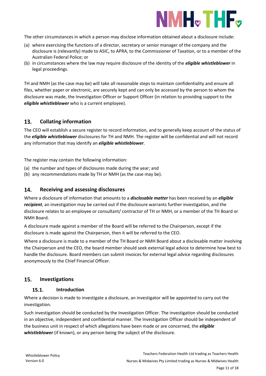

The other circumstances in which a person may disclose information obtained about a disclosure include:

- (a) where exercising the functions of a director, secretary or senior manager of the company and the disclosure is (relevantly) made to ASIC, to APRA, to the Commissioner of Taxation, or to a member of the Australian Federal Police; or
- (b) in circumstances where the law may require disclosure of the identity of the *eligible whistleblower* in legal proceedings.

TH and NMH (as the case may be) will take all reasonable steps to maintain confidentiality and ensure all files, whether paper or electronic, are securely kept and can only be accessed by the person to whom the disclosure was made, the Investigation Officer or Support Officer (in relation to providing support to the *eligible whistleblower* who is a current employee).

#### <span id="page-10-0"></span>13. **Collating information**

The CEO will establish a secure register to record information, and to generally keep account of the status of the *eligible whistleblower* disclosures for TH and NMH. The register will be confidential and will not record any information that may identify an *eligible whistleblower*.

The register may contain the following information:

- (a) the number and types of disclosures made during the year; and
- (b) any recommendations made by TH or NMH (as the case may be).

#### <span id="page-10-1"></span>14. **Receiving and assessing disclosures**

Where a disclosure of information that amounts to a *disclosable matter* has been received by an *eligible recipient*, an investigation may be carried out if the disclosure warrants further investigation, and the disclosure relates to an employee or consultant/ contractor of TH or NMH, or a member of the TH Board or NMH Board.

A disclosure made against a member of the Board will be referred to the Chairperson, except if the disclosure is made against the Chairperson, then it will be referred to the CEO.

Where a disclosure is made to a member of the TH Board or NMH Board about a disclosable matter involving the Chairperson and the CEO, the board member should seek external legal advice to determine how best to handle the disclosure. Board members can submit invoices for external legal advice regarding disclosures anonymously to the Chief Financial Officer.

#### <span id="page-10-3"></span><span id="page-10-2"></span>15. **Investigations**

#### $15.1.$ **Introduction**

Where a decision is made to investigate a disclosure, an investigator will be appointed to carry out the investigation.

Such investigation should be conducted by the Investigation Officer. The investigation should be conducted in an objective, independent and confidential manner. The Investigation Officer should be independent of the business unit in respect of which allegations have been made or are concerned, the *eligible whistleblower* (if known), or any person being the subject of the disclosure.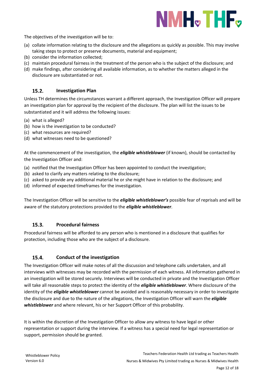

The objectives of the investigation will be to:

- (a) collate information relating to the disclosure and the allegations as quickly as possible. This may involve taking steps to protect or preserve documents, material and equipment;
- (b) consider the information collected;
- (c) maintain procedural fairness in the treatment of the person who is the subject of the disclosure; and
- (d) make findings, after considering all available information, as to whether the matters alleged in the disclosure are substantiated or not.

#### <span id="page-11-0"></span> $15.2.$ **Investigation Plan**

Unless TH determines the circumstances warrant a different approach, the Investigation Officer will prepare an investigation plan for approval by the recipient of the disclosure. The plan will list the issues to be substantiated and it will address the following issues:

- (a) what is alleged?
- (b) how is the investigation to be conducted?
- (c) what resources are required?
- (d) what witnesses need to be questioned?

At the commencement of the investigation, the *eligible whistleblower* (if known), should be contacted by the Investigation Officer and:

- (a) notified that the Investigation Officer has been appointed to conduct the investigation;
- (b) asked to clarify any matters relating to the disclosure;
- (c) asked to provide any additional material he or she might have in relation to the disclosure; and
- (d) informed of expected timeframes for the investigation.

The Investigation Officer will be sensitive to the *eligible whistleblower's* possible fear of reprisals and will be aware of the statutory protections provided to the *eligible whistleblower*.

#### <span id="page-11-1"></span> $15.3.$ **Procedural fairness**

Procedural fairness will be afforded to any person who is mentioned in a disclosure that qualifies for protection, including those who are the subject of a disclosure.

#### <span id="page-11-2"></span> $15.4.$ **Conduct of the investigation**

The Investigation Officer will make notes of all the discussion and telephone calls undertaken, and all interviews with witnesses may be recorded with the permission of each witness. All information gathered in an investigation will be stored securely. Interviews will be conducted in private and the Investigation Officer will take all reasonable steps to protect the identity of the *eligible whistleblower*. Where disclosure of the identity of the *eligible whistleblower* cannot be avoided and is reasonably necessary in order to investigate the disclosure and due to the nature of the allegations, the Investigation Officer will warn the *eligible whistleblower* and where relevant, his or her Support Officer of this probability.

It is within the discretion of the Investigation Officer to allow any witness to have legal or other representation or support during the interview. If a witness has a special need for legal representation or support, permission should be granted.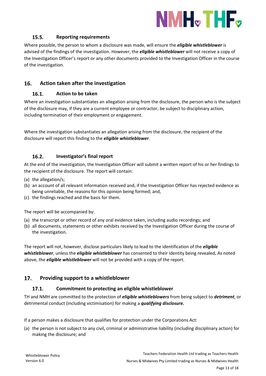

#### $15.5.$ **Reporting requirements**

<span id="page-12-0"></span>Where possible, the person to whom a disclosure was made, will ensure the *eligible whistleblower* is advised of the findings of the investigation. However, the *eligible whistleblower* will not receive a copy of the Investigation Officer's report or any other documents provided to the Investigation Officer in the course of the investigation.

#### <span id="page-12-2"></span><span id="page-12-1"></span>16. **Action taken after the investigation**

#### 16.1. **Action to be taken**

Where an investigation substantiates an allegation arising from the disclosure, the person who is the subject of the disclosure may, if they are a current employee or contractor, be subject to disciplinary action, including termination of their employment or engagement.

Where the investigation substantiates an allegation arising from the disclosure, the recipient of the disclosure will report this finding to the *eligible whistleblower*.

#### <span id="page-12-3"></span> $16.2.$ **Investigator's final report**

At the end of the investigation, the Investigation Officer will submit a written report of his or her findings to the recipient of the disclosure. The report will contain:

- (a) the allegation/s;
- (b) an account of all relevant information received and, if the Investigation Officer has rejected evidence as being unreliable, the reasons for this opinion being formed; and,
- (c) the findings reached and the basis for them.

The report will be accompanied by:

- (a) the transcript or other record of any oral evidence taken, including audio recordings; and
- (b) all documents, statements or other exhibits received by the Investigation Officer during the course of the investigation.

The report will not, however, disclose particulars likely to lead to the identification of the *eligible whistleblower*, unless the *eligible whistleblower* has consented to their identity being revealed*.* As noted above, the *eligible whistleblower* will not be provided with a copy of the report.

#### <span id="page-12-5"></span><span id="page-12-4"></span>17. **Providing support to a whistleblower**

#### 17.1. **Commitment to protecting an eligible whistleblower**

TH and NMH are committed to the protection of *eligible whistleblowers* from being subject to *detriment*, or detrimental conduct (including victimisation) for making a *qualifying disclosure.*

If a person makes a disclosure that qualifies for protection under the Corporations Act:

(a) the person is not subject to any civil, criminal or administrative liability (including disciplinary action) for making the disclosure; and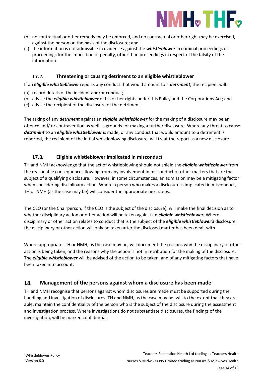

- (b) no contractual or other remedy may be enforced, and no contractual or other right may be exercised, against the person on the basis of the disclosure; and
- (c) the information is not admissible in evidence against the *whistleblower* in criminal proceedings or proceedings for the imposition of penalty, other than proceedings in respect of the falsity of the information.

#### <span id="page-13-0"></span> $17.2.$ **Threatening or causing detriment to an eligible whistleblower**

If an *eligible whistleblower* reports any conduct that would amount to a *detriment*, the recipient will:

- (a) record details of the incident and/or conduct;
- (b) advise the *eligible whistleblower* of his or her rights under this Policy and the Corporations Act; and
- (c) advise the recipient of the disclosure of the detriment.

The taking of any *detriment* against an *eligible whistleblower* for the making of a disclosure may be an offence and/ or contravention as well as grounds for making a further disclosure. Where any threat to cause *detriment* to an *eligible whistleblower* is made, or any conduct that would amount to a detriment is reported, the recipient of the initial whistleblowing disclosure, will treat the report as a new disclosure.

#### <span id="page-13-1"></span> $17.3.$ **Eligible whistleblower implicated in misconduct**

TH and NMH acknowledge that the act of whistleblowing should not shield the *eligible whistleblower* from the reasonable consequences flowing from any involvement in misconduct or other matters that are the subject of a qualifying disclosure. However, in some circumstances, an admission may be a mitigating factor when considering disciplinary action. Where a person who makes a disclosure is implicated in misconduct, TH or NMH (as the case may be) will consider the appropriate next steps.

The CEO (or the Chairperson, if the CEO is the subject of the disclosure), will make the final decision as to whether disciplinary action or other action will be taken against an *eligible whistleblower*. Where disciplinary or other action relates to conduct that is the subject of the *eligible whistleblower's* disclosure, the disciplinary or other action will only be taken after the disclosed matter has been dealt with.

Where appropriate, TH or NMH, as the case may be, will document the reasons why the disciplinary or other action is being taken, and the reasons why the action is not in retribution for the making of the disclosure. The *eligible whistleblower* will be advised of the action to be taken, and of any mitigating factors that have been taken into account.

#### <span id="page-13-2"></span>18. **Management of the persons against whom a disclosure has been made**

TH and NMH recognise that persons against whom disclosures are made must be supported during the handling and investigation of disclosures. TH and NMH, as the case may be, will to the extent that they are able, maintain the confidentiality of the person who is the subject of the disclosure during the assessment and investigation process. Where investigations do not substantiate disclosures, the findings of the investigation, will be marked confidential.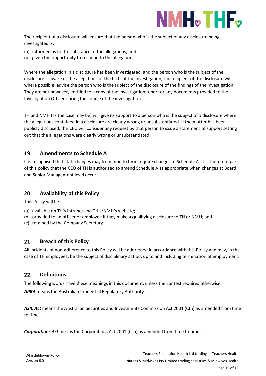

The recipient of a disclosure will ensure that the person who is the subject of any disclosure being investigated is:

- (a) informed as to the substance of the allegations; and
- (b) given the opportunity to respond to the allegations.

Where the allegation in a disclosure has been investigated, and the person who is the subject of the disclosure is aware of the allegations or the facts of the investigation, the recipient of the disclosure will, where possible, advise the person who is the subject of the disclosure of the findings of the investigation. They are not however, entitled to a copy of the investigation report or any documents provided to the Investigation Officer during the course of the investigation.

TH and NMH (as the case may be) will give its support to a person who is the subject of a disclosure where the allegations contained in a disclosure are clearly wrong or unsubstantiated. If the matter has been publicly disclosed, the CEO will consider any request by that person to issue a statement of support setting out that the allegations were clearly wrong or unsubstantiated.

#### <span id="page-14-0"></span>19. **Amendments to Schedule A**

It is recognised that staff changes may from time to time require changes to Schedule A. It is therefore part of this policy that the CEO of TH is authorised to amend Schedule A as appropriate when changes at Board and Senior Management level occur.

#### <span id="page-14-1"></span>20. **Availability of this Policy**

This Policy will be:

- (a) available on TH's intranet and TH's/NMH's website;
- (b) provided to an officer or employee if they make a qualifying disclosure to TH or NMH; and
- (c) retained by the Company Secretary.

#### <span id="page-14-2"></span>21. **Breach of this Policy**

All incidents of non-adherence to this Policy will be addressed in accordance with this Policy and may, in the case of TH employees, be the subject of disciplinary action, up to and including termination of employment.

#### <span id="page-14-3"></span>22. **Definitions**

The following words have these meanings in this document, unless the context requires otherwise:

*APRA* means the Australian Prudential Regulatory Authority.

*ASIC Act* means the Australian Securities and Investments Commission Act 2001 (Cth) as amended from time to time.

*Corporations Act* means the Corporations Act 2001 (Cth) as amended from time to time.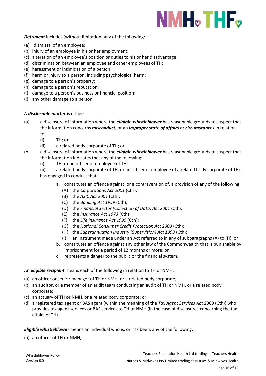

## *Detriment* includes (without limitation) any of the following:

- (a) dismissal of an employee;
- (b) injury of an employee in his or her employment;
- (c) alteration of an employee's position or duties to his or her disadvantage;
- (d) discrimination between an employee and other employees of TH;
- (e) harassment or intimidation of a person;
- (f) harm or injury to a person, including psychological harm;
- (g) damage to a person's property;
- (h) damage to a person's reputation;
- (i) damage to a person's business or financial position;
- (j) any other damage to a person.

### A *disclosable matter* is either:

- (a) a disclosure of information where the *eligible whistleblower* has reasonable grounds to suspect that the information concerns *misconduct*, or an *improper state of affairs or circumstances* in relation to:
	- (i) TH; or
	- (ii) a related body corporate of TH; or
- (b) a disclosure of information where the *eligible whistleblower* has reasonable grounds to suspect that the information indicates that any of the following:
	- (i) TH, or an officer or employee of TH;
	- (ii) a related body corporate of TH, or an officer or employee of a related body corporate of TH; has engaged in conduct that:
		- a. constitutes an offence against, or a contravention of, a provision of any of the following:
			- (A) the *Corporations Act 2001* (Cth);
			- (B) the *ASIC Act 2001* (Cth);
			- (C) the *Banking Act 1959* (Cth);
			- (D) the *Financial Sector (Collection of Data) Act 2001* (Cth);
			- (E) the *Insurance Act 1973* (Cth);
			- (F) the *Life Insurance Act 1995* (Cth);
			- (G) the *National Consumer Credit Protection Act 2009* (Cth);
			- (H) the *Superannuation Industry (Supervision) Act 1993* (Cth);
			- (I) an instrument made under an Act referred to in any of subparagraphs (A) to (H); or
		- b. constitutes an offence against any other law of the Commonwealth that is punishable by imprisonment for a period of 12 months or more; or
		- c. represents a danger to the public or the financial system.

### An **e***ligible recipient* means each of the following in relation to TH or NMH:

- (a) an officer or senior manager of TH or NMH, or a related body corporate;
- (b) an auditor, or a member of an audit team conducting an audit of TH or NMH, or a related body corporate;
- (c) an actuary of TH or NMH, or a related body corporate; or
- (d) a registered tax agent or BAS agent (within the meaning of the *Tax Agent Services Act* 2009 (Cth)) who provides tax agent services or BAS services to TH or NMH (in the case of disclosures concerning the tax affairs of TH).

*Eligible whistleblower* means an individual who is, or has been, any of the following:

(a) an officer of TH or NMH;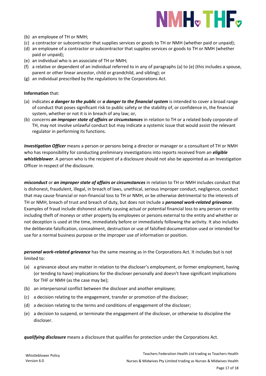

- (b) an employee of TH or NMH;
- (c) a contractor or subcontractor that supplies services or goods to TH or NMH (whether paid or unpaid);
- (d) an employee of a contractor or subcontractor that supplies services or goods to TH or NMH (whether paid or unpaid);
- (e) an individual who is an associate of TH or NMH;
- (f) a relative or dependent of an individual referred to in any of paragraphs (a) to (e) (this includes a spouse, parent or other linear ancestor, child or grandchild, and sibling); or
- (g) an individual prescribed by the regulations to the Corporations Act.

### **Information** that:

- (a) indicates *a danger to the public* or *a danger to the financial system* is intended to cover a broad range of conduct that poses significant risk to public safety or the stability of, or confidence in, the financial system, whether or not it is in breach of any law; or,
- (b) concerns *an improper state of affairs or circumstances* in relation to TH or a related body corporate of TH, may not involve unlawful conduct but may indicate a systemic issue that would assist the relevant regulator in performing its functions.

*Investigation Officer* means a person or persons being a director or manager or a consultant of TH or NMH who has responsibility for conducting preliminary investigations into reports received from an *eligible whistleblower*. A person who is the recipient of a disclosure should not also be appointed as an Investigation Officer in respect of the disclosure.

*misconduct* or *an improper state of affairs or circumstances* in relation to TH or NMH includes conduct that is dishonest, fraudulent, illegal, in breach of laws, unethical, serious improper conduct, negligence, conduct that may cause financial or non-financial loss to TH or NMH, or be otherwise detrimental to the interests of TH or NMH, breach of trust and breach of duty, but does not include a *personal work-related grievance*. Examples of fraud include dishonest activity causing actual or potential financial loss to any person or entity including theft of moneys or other property by employees or persons external to the entity and whether or not deception is used at the time, immediately before or immediately following the activity. It also includes the deliberate falsification, concealment, destruction or use of falsified documentation used or intended for use for a normal business purpose or the improper use of information or position.

*personal work-related grievance* has the same meaning as in the Corporations Act. It includes but is not limited to:

- (a) a grievance about any matter in relation to the discloser's employment, or former employment, having (or tending to have) implications for the discloser personally and doesn't have significant implications for THF or NMH (as the case may be);
- (b) an interpersonal conflict between the discloser and another employee;
- (c) a decision relating to the engagement, transfer or promotion of the discloser;
- (d) a decision relating to the terms and conditions of engagement of the discloser;
- (e) a decision to suspend, or terminate the engagement of the discloser, or otherwise to discipline the discloser.

*qualifying disclosure* means a disclosure that qualifies for protection under the Corporations Act.